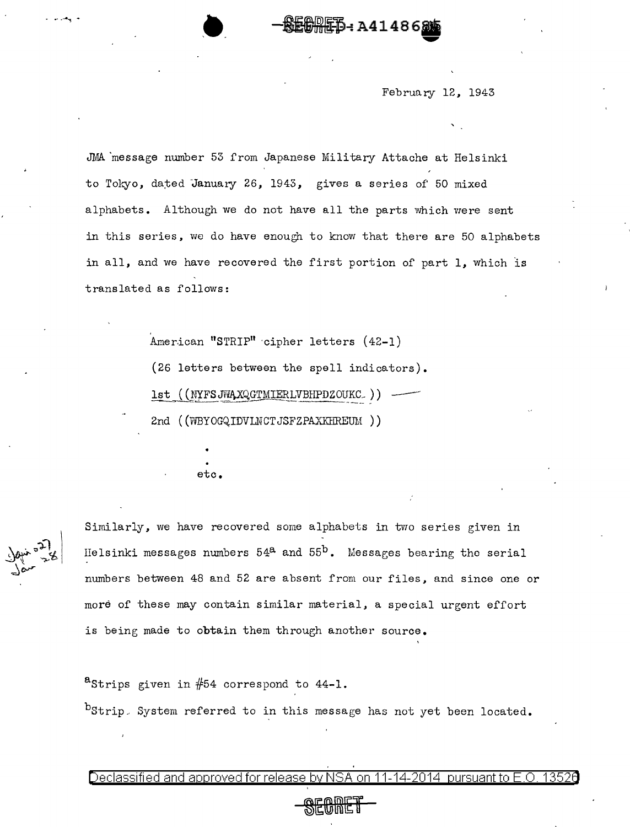February 12, 1943

ÆĎ-: А41486

JMA 'message number 53 from Japanese Military Attache at Helsinki to Tokyo, dated January 26, 1943, gives a series of 50 mixed alphabets. Although we do not have all the parts which were sent in this series, we do have enough to know that there are 50 alphabets in all, and we have recovered the first portion of part 1, which is translated as follows:

> American "STRIP" cipher letters (42-1) (26 letters between the spell indicators).  $1st$  ( (NYFSJWAXQGTMIERLVBHPDZOUKC\_))  $-$ 2nd ( (WBYOGQ.IDVLNCTJSFZPAXKrlREUM ) )

> > etc.

Similarly, we have recovered some alphabets in two series given in Helsinki messages numbers  $54^a$  and  $55^b$ . Messages bearing the serial numbers between 48 and 52 are absent from our files, and since one or more of these may contain similar material, a special urgent effort is being made to obtain them through another source.

<sup>a</sup>Strips given in  $#54$  correspond to  $44-1$ .  $^{b}$ Strip. System referred to in this message has not yet been located.